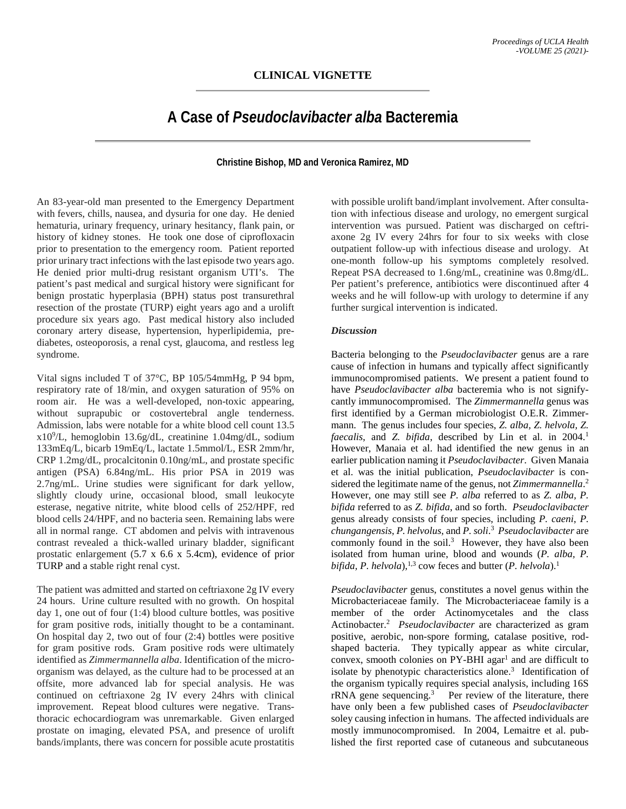## **A Case of** *Pseudoclavibacter alba* **Bacteremia**

## **Christine Bishop, MD and Veronica Ramirez, MD**

An 83-year-old man presented to the Emergency Department with fevers, chills, nausea, and dysuria for one day. He denied hematuria, urinary frequency, urinary hesitancy, flank pain, or history of kidney stones. He took one dose of ciprofloxacin prior to presentation to the emergency room. Patient reported prior urinary tract infections with the last episode two years ago. He denied prior multi-drug resistant organism UTI's. The patient's past medical and surgical history were significant for benign prostatic hyperplasia (BPH) status post transurethral resection of the prostate (TURP) eight years ago and a urolift procedure six years ago. Past medical history also included coronary artery disease, hypertension, hyperlipidemia, prediabetes, osteoporosis, a renal cyst, glaucoma, and restless leg syndrome.

Vital signs included T of 37°C, BP 105/54mmHg, P 94 bpm, respiratory rate of 18/min, and oxygen saturation of 95% on room air. He was a well-developed, non-toxic appearing, without suprapubic or costovertebral angle tenderness. Admission, labs were notable for a white blood cell count 13.5 x109 /L, hemoglobin 13.6g/dL, creatinine 1.04mg/dL, sodium 133mEq/L, bicarb 19mEq/L, lactate 1.5mmol/L, ESR 2mm/hr, CRP 1.2mg/dL, procalcitonin 0.10ng/mL, and prostate specific antigen (PSA) 6.84ng/mL. His prior PSA in 2019 was 2.7ng/mL. Urine studies were significant for dark yellow, slightly cloudy urine, occasional blood, small leukocyte esterase, negative nitrite, white blood cells of 252/HPF, red blood cells 24/HPF, and no bacteria seen. Remaining labs were all in normal range. CT abdomen and pelvis with intravenous contrast revealed a thick-walled urinary bladder, significant prostatic enlargement (5.7 x 6.6 x 5.4cm), evidence of prior TURP and a stable right renal cyst.

The patient was admitted and started on ceftriaxone 2g IV every 24 hours. Urine culture resulted with no growth. On hospital day 1, one out of four (1:4) blood culture bottles, was positive for gram positive rods, initially thought to be a contaminant. On hospital day 2, two out of four (2:4) bottles were positive for gram positive rods. Gram positive rods were ultimately identified as *Zimmermannella alba*. Identification of the microorganism was delayed, as the culture had to be processed at an offsite, more advanced lab for special analysis. He was continued on ceftriaxone 2g IV every 24hrs with clinical improvement. Repeat blood cultures were negative. Transthoracic echocardiogram was unremarkable. Given enlarged prostate on imaging, elevated PSA, and presence of urolift bands/implants, there was concern for possible acute prostatitis

with possible urolift band/implant involvement. After consultation with infectious disease and urology, no emergent surgical intervention was pursued. Patient was discharged on ceftriaxone 2g IV every 24hrs for four to six weeks with close outpatient follow-up with infectious disease and urology. At one-month follow-up his symptoms completely resolved. Repeat PSA decreased to 1.6ng/mL, creatinine was 0.8mg/dL. Per patient's preference, antibiotics were discontinued after 4 weeks and he will follow-up with urology to determine if any further surgical intervention is indicated.

## *Discussion*

Bacteria belonging to the *Pseudoclavibacter* genus are a rare cause of infection in humans and typically affect significantly immunocompromised patients. We present a patient found to have *Pseudoclavibacter alba* bacteremia who is not signifycantly immunocompromised. The *Zimmermannella* genus was first identified by a German microbiologist O.E.R. Zimmermann. The genus includes four species, *Z. alba, Z. helvola, Z. faecalis*, and *Z. bifida*, described by Lin et al. in 2004. 1 However, Manaia et al. had identified the new genus in an earlier publication naming it *Pseudoclavibacter*. Given Manaia et al. was the initial publication, *Pseudoclavibacter* is considered the legitimate name of the genus, not *Zimmermannella*. 2 However, one may still see *P. alba* referred to as *Z. alba, P. bifida* referred to as *Z. bifida*, and so forth. *Pseudoclavibacter* genus already consists of four species, including *P. caeni*, *P. chungangensis*, *P. helvolus*, and *P. soli*. 3 *Pseudoclavibacter* are commonly found in the soil. 3 However, they have also been isolated from human urine, blood and wounds (*P. alba, P.*  bifida, P. helvola),<sup>1,3</sup> cow feces and butter (P. helvola).<sup>1</sup>

*Pseudoclavibacter* genus, constitutes a novel genus within the Microbacteriaceae family. The Microbacteriaceae family is a member of the order Actinomycetales and the class Actinobacter. 2 *Pseudoclavibacter* are characterized as gram positive, aerobic, non-spore forming, catalase positive, rodshaped bacteria. They typically appear as white circular, convex, smooth colonies on  $PY-BHI$  agar<sup>1</sup> and are difficult to isolate by phenotypic characteristics alone. 3 Identification of the organism typically requires special analysis, including 16S rRNA gene sequencing.<sup>3</sup> Per review of the literature, there have only been a few published cases of *Pseudoclavibacter* soley causing infection in humans. The affected individuals are mostly immunocompromised. In 2004, Lemaitre et al. published the first reported case of cutaneous and subcutaneous